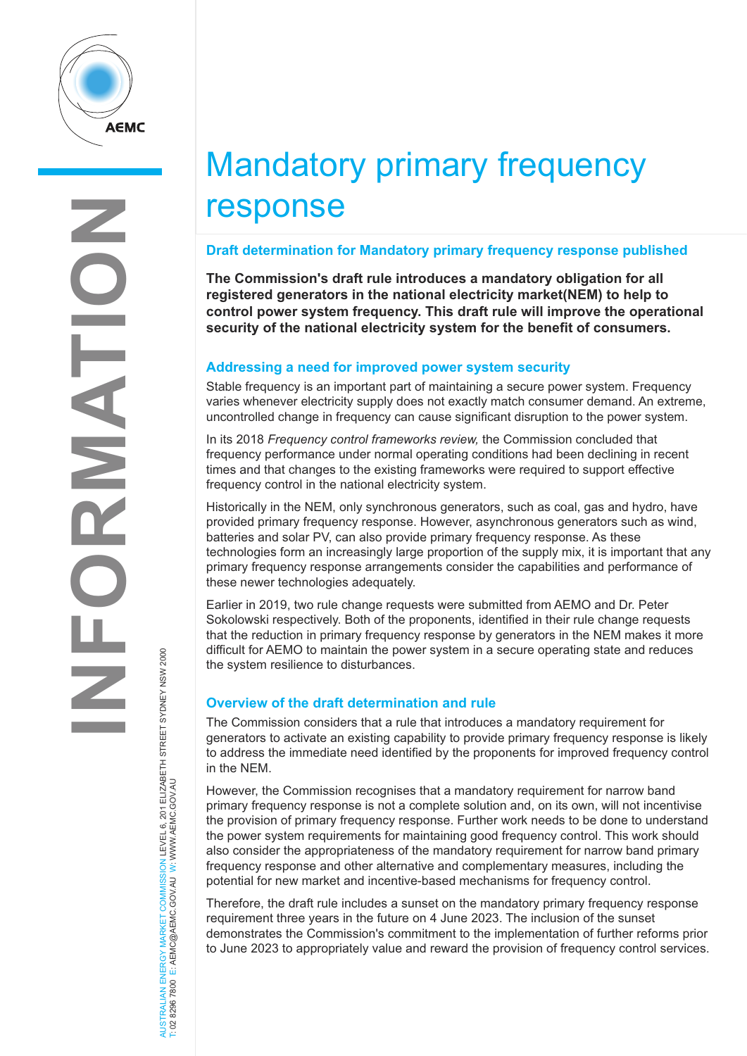

AUSTRALIAN ENERGY MARKET COMMISSION LEVEL 6, 201 ELIZABETH STREET SYDNEY NSW 2000

AUSTRALIAN ENERGY MARKET COMMISSION LEVEL 6, 201 ELIZABETH STREET SYDNEY NSW 2000<br>T: 02 8296 7800 E: AEMC@AEMC.GOV.AU W: WWW.AEMC.GOV.AU

T: 02 8296 7800 E: AEMC@AEMC.GOV.AU W: WWW.AEMC.GOV.AU

# Mandatory primary frequency response

## **Draft determination for Mandatory primary frequency response published**

**The Commission's draft rule introduces a mandatory obligation for all registered generators in the national electricity market(NEM) to help to control power system frequency. This draft rule will improve the operational security of the national electricity system for the benefit of consumers.**

## **Addressing a need for improved power system security**

Stable frequency is an important part of maintaining a secure power system. Frequency varies whenever electricity supply does not exactly match consumer demand. An extreme, uncontrolled change in frequency can cause significant disruption to the power system.

In its 2018 *Frequency control frameworks review,* the Commission concluded that frequency performance under normal operating conditions had been declining in recent times and that changes to the existing frameworks were required to support effective frequency control in the national electricity system.

Historically in the NEM, only synchronous generators, such as coal, gas and hydro, have provided primary frequency response. However, asynchronous generators such as wind, batteries and solar PV, can also provide primary frequency response. As these technologies form an increasingly large proportion of the supply mix, it is important that any primary frequency response arrangements consider the capabilities and performance of these newer technologies adequately.

Earlier in 2019, two rule change requests were submitted from AEMO and Dr. Peter Sokolowski respectively. Both of the proponents, identified in their rule change requests that the reduction in primary frequency response by generators in the NEM makes it more difficult for AEMO to maintain the power system in a secure operating state and reduces the system resilience to disturbances.

# **Overview of the draft determination and rule**

The Commission considers that a rule that introduces a mandatory requirement for generators to activate an existing capability to provide primary frequency response is likely to address the immediate need identified by the proponents for improved frequency control in the NEM.

However, the Commission recognises that a mandatory requirement for narrow band primary frequency response is not a complete solution and, on its own, will not incentivise the provision of primary frequency response. Further work needs to be done to understand the power system requirements for maintaining good frequency control. This work should also consider the appropriateness of the mandatory requirement for narrow band primary frequency response and other alternative and complementary measures, including the potential for new market and incentive-based mechanisms for frequency control.

Therefore, the draft rule includes a sunset on the mandatory primary frequency response requirement three years in the future on 4 June 2023. The inclusion of the sunset demonstrates the Commission's commitment to the implementation of further reforms prior to June 2023 to appropriately value and reward the provision of frequency control services.